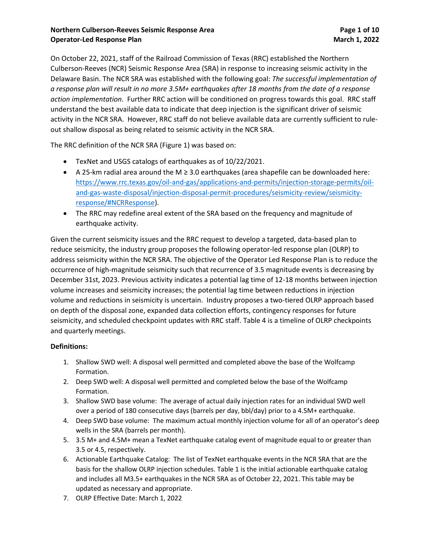#### **Northern Culberson-Reeves Seismic Response Area Page 1 of 10 Operator-Led Response Plan March 1, 2022**

On October 22, 2021, staff of the Railroad Commission of Texas (RRC) established the Northern Culberson-Reeves (NCR) Seismic Response Area (SRA) in response to increasing seismic activity in the Delaware Basin. The NCR SRA was established with the following goal: *The successful implementation of a response plan will result in no more 3.5M+ earthquakes after 18 months from the date of a response action implementation*. Further RRC action will be conditioned on progress towards this goal. RRC staff understand the best available data to indicate that deep injection is the significant driver of seismic activity in the NCR SRA. However, RRC staff do not believe available data are currently sufficient to ruleout shallow disposal as being related to seismic activity in the NCR SRA.

The RRC definition of the NCR SRA (Figure 1) was based on:

- TexNet and USGS catalogs of earthquakes as of 10/22/2021.
- A 25-km radial area around the M ≥ 3.0 earthquakes (area shapefile can be downloaded here: [https://www.rrc.texas.gov/oil-and-gas/applications-and-permits/injection-storage-permits/oil](https://www.rrc.texas.gov/oil-and-gas/applications-and-permits/injection-storage-permits/oil-and-gas-waste-disposal/injection-disposal-permit-procedures/seismicity-review/seismicity-response/#NCRResponse)[and-gas-waste-disposal/injection-disposal-permit-procedures/seismicity-review/seismicity](https://www.rrc.texas.gov/oil-and-gas/applications-and-permits/injection-storage-permits/oil-and-gas-waste-disposal/injection-disposal-permit-procedures/seismicity-review/seismicity-response/#NCRResponse)[response/#NCRResponse\)](https://www.rrc.texas.gov/oil-and-gas/applications-and-permits/injection-storage-permits/oil-and-gas-waste-disposal/injection-disposal-permit-procedures/seismicity-review/seismicity-response/#NCRResponse).
- The RRC may redefine areal extent of the SRA based on the frequency and magnitude of earthquake activity.

Given the current seismicity issues and the RRC request to develop a targeted, data-based plan to reduce seismicity, the industry group proposes the following operator-led response plan (OLRP) to address seismicity within the NCR SRA. The objective of the Operator Led Response Plan is to reduce the occurrence of high-magnitude seismicity such that recurrence of 3.5 magnitude events is decreasing by December 31st, 2023. Previous activity indicates a potential lag time of 12-18 months between injection volume increases and seismicity increases; the potential lag time between reductions in injection volume and reductions in seismicity is uncertain. Industry proposes a two-tiered OLRP approach based on depth of the disposal zone, expanded data collection efforts, contingency responses for future seismicity, and scheduled checkpoint updates with RRC staff. Table 4 is a timeline of OLRP checkpoints and quarterly meetings.

#### **Definitions:**

- 1. Shallow SWD well: A disposal well permitted and completed above the base of the Wolfcamp Formation.
- 2. Deep SWD well: A disposal well permitted and completed below the base of the Wolfcamp Formation.
- 3. Shallow SWD base volume: The average of actual daily injection rates for an individual SWD well over a period of 180 consecutive days (barrels per day, bbl/day) prior to a 4.5M+ earthquake.
- 4. Deep SWD base volume: The maximum actual monthly injection volume for all of an operator's deep wells in the SRA (barrels per month).
- 5. 3.5 M+ and 4.5M+ mean a TexNet earthquake catalog event of magnitude equal to or greater than 3.5 or 4.5, respectively.
- 6. Actionable Earthquake Catalog: The list of TexNet earthquake events in the NCR SRA that are the basis for the shallow OLRP injection schedules. Table 1 is the initial actionable earthquake catalog and includes all M3.5+ earthquakes in the NCR SRA as of October 22, 2021. This table may be updated as necessary and appropriate.
- 7. OLRP Effective Date: March 1, 2022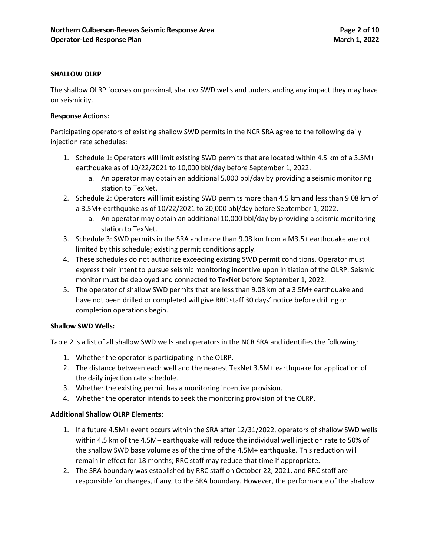#### **SHALLOW OLRP**

The shallow OLRP focuses on proximal, shallow SWD wells and understanding any impact they may have on seismicity.

#### **Response Actions:**

Participating operators of existing shallow SWD permits in the NCR SRA agree to the following daily injection rate schedules:

- 1. Schedule 1: Operators will limit existing SWD permits that are located within 4.5 km of a 3.5M+ earthquake as of 10/22/2021 to 10,000 bbl/day before September 1, 2022.
	- a. An operator may obtain an additional 5,000 bbl/day by providing a seismic monitoring station to TexNet.
- 2. Schedule 2: Operators will limit existing SWD permits more than 4.5 km and less than 9.08 km of a 3.5M+ earthquake as of 10/22/2021 to 20,000 bbl/day before September 1, 2022.
	- a. An operator may obtain an additional 10,000 bbl/day by providing a seismic monitoring station to TexNet.
- 3. Schedule 3: SWD permits in the SRA and more than 9.08 km from a M3.5+ earthquake are not limited by this schedule; existing permit conditions apply.
- 4. These schedules do not authorize exceeding existing SWD permit conditions. Operator must express their intent to pursue seismic monitoring incentive upon initiation of the OLRP. Seismic monitor must be deployed and connected to TexNet before September 1, 2022.
- 5. The operator of shallow SWD permits that are less than 9.08 km of a 3.5M+ earthquake and have not been drilled or completed will give RRC staff 30 days' notice before drilling or completion operations begin.

#### **Shallow SWD Wells:**

Table 2 is a list of all shallow SWD wells and operators in the NCR SRA and identifies the following:

- 1. Whether the operator is participating in the OLRP.
- 2. The distance between each well and the nearest TexNet 3.5M+ earthquake for application of the daily injection rate schedule.
- 3. Whether the existing permit has a monitoring incentive provision.
- 4. Whether the operator intends to seek the monitoring provision of the OLRP.

#### **Additional Shallow OLRP Elements:**

- 1. If a future 4.5M+ event occurs within the SRA after 12/31/2022, operators of shallow SWD wells within 4.5 km of the 4.5M+ earthquake will reduce the individual well injection rate to 50% of the shallow SWD base volume as of the time of the 4.5M+ earthquake. This reduction will remain in effect for 18 months; RRC staff may reduce that time if appropriate.
- 2. The SRA boundary was established by RRC staff on October 22, 2021, and RRC staff are responsible for changes, if any, to the SRA boundary. However, the performance of the shallow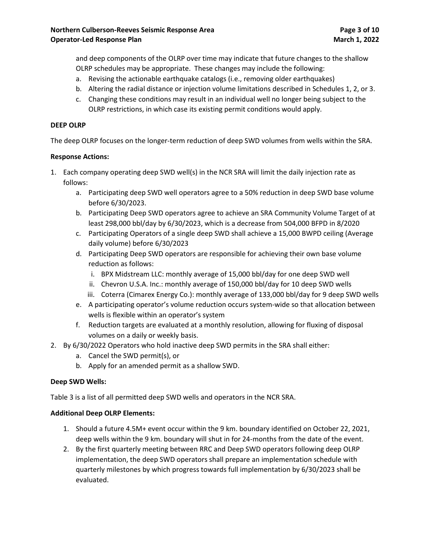and deep components of the OLRP over time may indicate that future changes to the shallow OLRP schedules may be appropriate. These changes may include the following:

- a. Revising the actionable earthquake catalogs (i.e., removing older earthquakes)
- b. Altering the radial distance or injection volume limitations described in Schedules 1, 2, or 3.
- c. Changing these conditions may result in an individual well no longer being subject to the OLRP restrictions, in which case its existing permit conditions would apply.

#### **DEEP OLRP**

The deep OLRP focuses on the longer-term reduction of deep SWD volumes from wells within the SRA.

#### **Response Actions:**

- 1. Each company operating deep SWD well(s) in the NCR SRA will limit the daily injection rate as follows:
	- a. Participating deep SWD well operators agree to a 50% reduction in deep SWD base volume before 6/30/2023.
	- b. Participating Deep SWD operators agree to achieve an SRA Community Volume Target of at least 298,000 bbl/day by 6/30/2023, which is a decrease from 504,000 BFPD in 8/2020
	- c. Participating Operators of a single deep SWD shall achieve a 15,000 BWPD ceiling (Average daily volume) before 6/30/2023
	- d. Participating Deep SWD operators are responsible for achieving their own base volume reduction as follows:
		- i. BPX Midstream LLC: monthly average of 15,000 bbl/day for one deep SWD well
		- ii. Chevron U.S.A. Inc.: monthly average of 150,000 bbl/day for 10 deep SWD wells
		- iii. Coterra (Cimarex Energy Co.): monthly average of 133,000 bbl/day for 9 deep SWD wells
	- e. A participating operator's volume reduction occurs system-wide so that allocation between wells is flexible within an operator's system
	- f. Reduction targets are evaluated at a monthly resolution, allowing for fluxing of disposal volumes on a daily or weekly basis.
- 2. By 6/30/2022 Operators who hold inactive deep SWD permits in the SRA shall either:
	- a. Cancel the SWD permit(s), or
	- b. Apply for an amended permit as a shallow SWD.

#### **Deep SWD Wells:**

Table 3 is a list of all permitted deep SWD wells and operators in the NCR SRA.

#### **Additional Deep OLRP Elements:**

- 1. Should a future 4.5M+ event occur within the 9 km. boundary identified on October 22, 2021, deep wells within the 9 km. boundary will shut in for 24-months from the date of the event.
- 2. By the first quarterly meeting between RRC and Deep SWD operators following deep OLRP implementation, the deep SWD operators shall prepare an implementation schedule with quarterly milestones by which progress towards full implementation by 6/30/2023 shall be evaluated.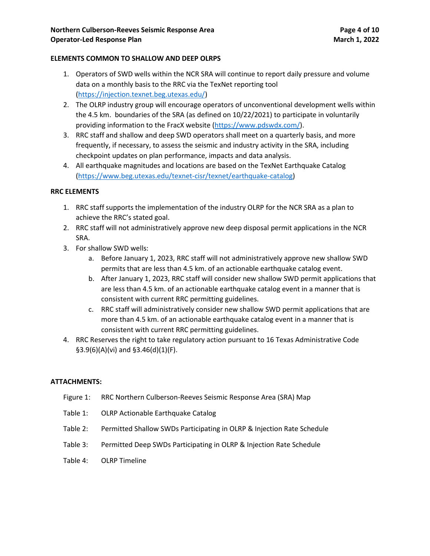#### **ELEMENTS COMMON TO SHALLOW AND DEEP OLRPS**

- 1. Operators of SWD wells within the NCR SRA will continue to report daily pressure and volume data on a monthly basis to the RRC via the TexNet reporting tool [\(https://injection.texnet.beg.utexas.edu/\)](https://injection.texnet.beg.utexas.edu/)
- 2. The OLRP industry group will encourage operators of unconventional development wells within the 4.5 km. boundaries of the SRA (as defined on 10/22/2021) to participate in voluntarily providing information to the FracX website [\(https://www.pdswdx.com/\)](https://www.pdswdx.com/).
- 3. RRC staff and shallow and deep SWD operators shall meet on a quarterly basis, and more frequently, if necessary, to assess the seismic and industry activity in the SRA, including checkpoint updates on plan performance, impacts and data analysis.
- 4. All earthquake magnitudes and locations are based on the TexNet Earthquake Catalog [\(https://www.beg.utexas.edu/texnet-cisr/texnet/earthquake-catalog\)](https://www.beg.utexas.edu/texnet-cisr/texnet/earthquake-catalog)

#### **RRC ELEMENTS**

- 1. RRC staff supports the implementation of the industry OLRP for the NCR SRA as a plan to achieve the RRC's stated goal.
- 2. RRC staff will not administratively approve new deep disposal permit applications in the NCR SRA.
- 3. For shallow SWD wells:
	- a. Before January 1, 2023, RRC staff will not administratively approve new shallow SWD permits that are less than 4.5 km. of an actionable earthquake catalog event.
	- b. After January 1, 2023, RRC staff will consider new shallow SWD permit applications that are less than 4.5 km. of an actionable earthquake catalog event in a manner that is consistent with current RRC permitting guidelines.
	- c. RRC staff will administratively consider new shallow SWD permit applications that are more than 4.5 km. of an actionable earthquake catalog event in a manner that is consistent with current RRC permitting guidelines.
- 4. RRC Reserves the right to take regulatory action pursuant to 16 Texas Administrative Code §3.9(6)(A)(vi) and §3.46(d)(1)(F).

#### **ATTACHMENTS:**

- Figure 1: RRC Northern Culberson-Reeves Seismic Response Area (SRA) Map
- Table 1: OLRP Actionable Earthquake Catalog
- Table 2: Permitted Shallow SWDs Participating in OLRP & Injection Rate Schedule
- Table 3: Permitted Deep SWDs Participating in OLRP & Injection Rate Schedule
- Table 4: OLRP Timeline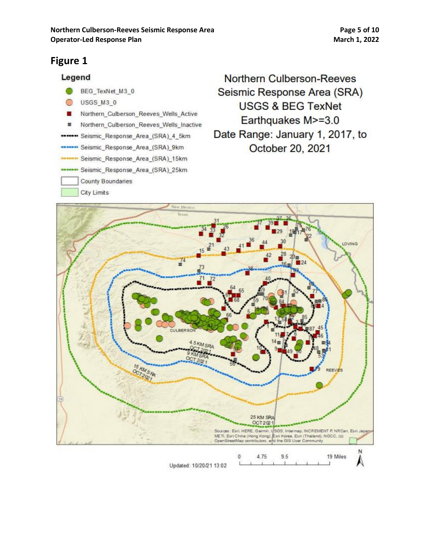### **Figure 1**



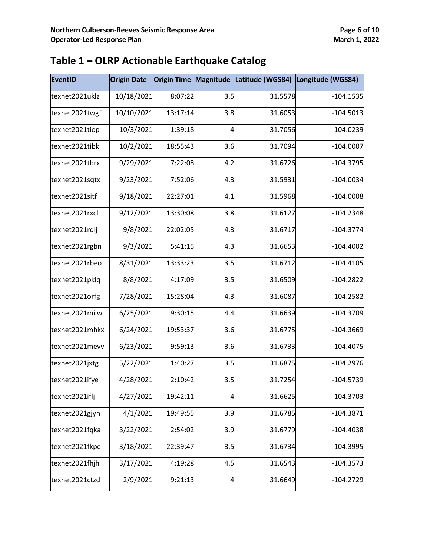| <b>EventID</b> | <b>Origin Date</b> |          |                |         | Origin Time Magnitude Latitude (WGS84) Longitude (WGS84) |
|----------------|--------------------|----------|----------------|---------|----------------------------------------------------------|
| texnet2021uklz | 10/18/2021         | 8:07:22  | 3.5            | 31.5578 | $-104.1535$                                              |
| texnet2021twgf | 10/10/2021         | 13:17:14 | 3.8            | 31.6053 | $-104.5013$                                              |
| texnet2021tiop | 10/3/2021          | 1:39:18  | 4              | 31.7056 | $-104.0239$                                              |
| texnet2021tibk | 10/2/2021          | 18:55:43 | 3.6            | 31.7094 | $-104.0007$                                              |
| texnet2021tbrx | 9/29/2021          | 7:22:08  | 4.2            | 31.6726 | $-104.3795$                                              |
| texnet2021sqtx | 9/23/2021          | 7:52:06  | 4.3            | 31.5931 | $-104.0034$                                              |
| texnet2021sitf | 9/18/2021          | 22:27:01 | 4.1            | 31.5968 | $-104.0008$                                              |
| texnet2021rxcl | 9/12/2021          | 13:30:08 | 3.8            | 31.6127 | $-104.2348$                                              |
| texnet2021rqlj | 9/8/2021           | 22:02:05 | 4.3            | 31.6717 | $-104.3774$                                              |
| texnet2021rgbn | 9/3/2021           | 5:41:15  | 4.3            | 31.6653 | $-104.4002$                                              |
| texnet2021rbeo | 8/31/2021          | 13:33:23 | 3.5            | 31.6712 | $-104.4105$                                              |
| texnet2021pklq | 8/8/2021           | 4:17:09  | 3.5            | 31.6509 | $-104.2822$                                              |
| texnet2021orfg | 7/28/2021          | 15:28:04 | 4.3            | 31.6087 | $-104.2582$                                              |
| texnet2021milw | 6/25/2021          | 9:30:15  | 4.4            | 31.6639 | $-104.3709$                                              |
| texnet2021mhkx | 6/24/2021          | 19:53:37 | 3.6            | 31.6775 | $-104.3669$                                              |
| texnet2021mevv | 6/23/2021          | 9:59:13  | 3.6            | 31.6733 | $-104.4075$                                              |
| texnet2021jxtg | 5/22/2021          | 1:40:27  | 3.5            | 31.6875 | $-104.2976$                                              |
| texnet2021ifye | 4/28/2021          | 2:10:42  | 3.5            | 31.7254 | $-104.5739$                                              |
| texnet2021iflj | 4/27/2021          | 19:42:11 | $\overline{4}$ | 31.6625 | $-104.3703$                                              |
| texnet2021gjyn | 4/1/2021           | 19:49:55 | 3.9            | 31.6785 | $-104.3871$                                              |
| texnet2021fqka | 3/22/2021          | 2:54:02  | 3.9            | 31.6779 | $-104.4038$                                              |
| texnet2021fkpc | 3/18/2021          | 22:39:47 | 3.5            | 31.6734 | $-104.3995$                                              |
| texnet2021fhjh | 3/17/2021          | 4:19:28  | 4.5            | 31.6543 | $-104.3573$                                              |
| texnet2021ctzd | 2/9/2021           | 9:21:13  | 4              | 31.6649 | $-104.2729$                                              |

### **Table 1 – OLRP Actionable Earthquake Catalog**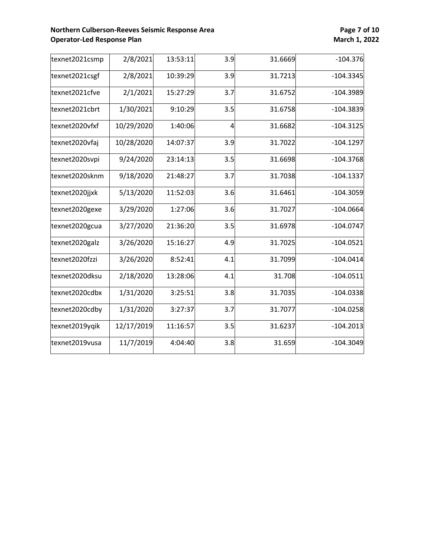#### **Northern Culberson-Reeves Seismic Response Area <b>Page 7 Page 7** of 10<br> **Operator-Led Response Plan**<br> **Page 7** of 10 **Operator-Led Response Plan**

| texnet2021csmp | 2/8/2021   | 13:53:11 | 3.9            | 31.6669 | $-104.376$  |
|----------------|------------|----------|----------------|---------|-------------|
| texnet2021csgf | 2/8/2021   | 10:39:29 | 3.9            | 31.7213 | $-104.3345$ |
| texnet2021cfve | 2/1/2021   | 15:27:29 | 3.7            | 31.6752 | $-104.3989$ |
| texnet2021cbrt | 1/30/2021  | 9:10:29  | 3.5            | 31.6758 | $-104.3839$ |
| texnet2020vfxf | 10/29/2020 | 1:40:06  | $\overline{4}$ | 31.6682 | $-104.3125$ |
| texnet2020vfaj | 10/28/2020 | 14:07:37 | 3.9            | 31.7022 | $-104.1297$ |
| texnet2020svpi | 9/24/2020  | 23:14:13 | 3.5            | 31.6698 | $-104.3768$ |
| texnet2020sknm | 9/18/2020  | 21:48:27 | 3.7            | 31.7038 | $-104.1337$ |
| texnet2020jjxk | 5/13/2020  | 11:52:03 | 3.6            | 31.6461 | $-104.3059$ |
| texnet2020gexe | 3/29/2020  | 1:27:06  | 3.6            | 31.7027 | $-104.0664$ |
| texnet2020gcua | 3/27/2020  | 21:36:20 | 3.5            | 31.6978 | $-104.0747$ |
| texnet2020galz | 3/26/2020  | 15:16:27 | 4.9            | 31.7025 | $-104.0521$ |
| texnet2020fzzi | 3/26/2020  | 8:52:41  | 4.1            | 31.7099 | $-104.0414$ |
| texnet2020dksu | 2/18/2020  | 13:28:06 | 4.1            | 31.708  | $-104.0511$ |
| texnet2020cdbx | 1/31/2020  | 3:25:51  | 3.8            | 31.7035 | $-104.0338$ |
| texnet2020cdby | 1/31/2020  | 3:27:37  | 3.7            | 31.7077 | $-104.0258$ |
| texnet2019yqik | 12/17/2019 | 11:16:57 | 3.5            | 31.6237 | $-104.2013$ |
| texnet2019vusa | 11/7/2019  | 4:04:40  | 3.8            | 31.659  | $-104.3049$ |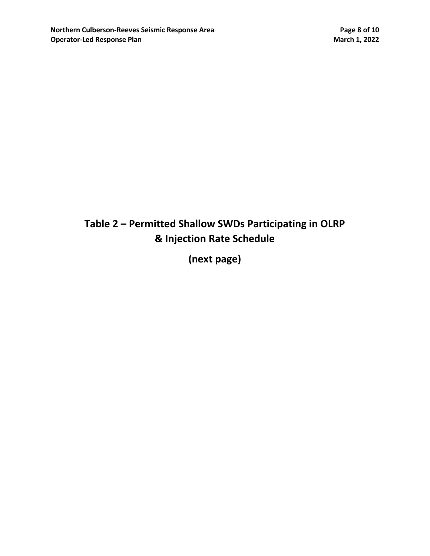# **Table 2 – Permitted Shallow SWDs Participating in OLRP & Injection Rate Schedule**

**(next page)**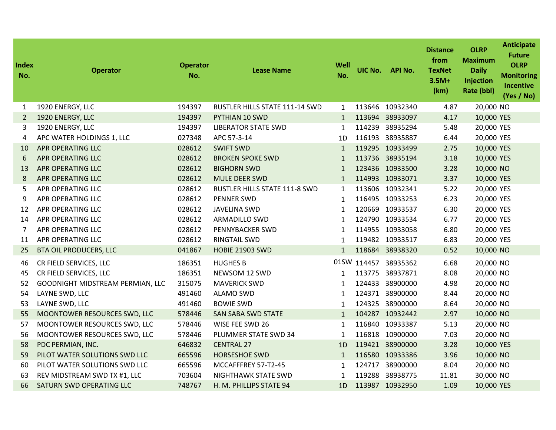| <b>Index</b><br>No. | <b>Operator</b>                  | <b>Operator</b><br>No. | <b>Lease Name</b>              | Well<br>No.  | UIC No. | <b>API No.</b>  | <b>Distance</b><br>from<br><b>TexNet</b><br>$3.5M+$<br>(km) | <b>OLRP</b><br><b>Maximum</b><br><b>Daily</b><br>Injection<br>Rate (bbl) | <b>Anticipate</b><br><b>Future</b><br><b>OLRP</b><br><b>Monitoring</b><br><b>Incentive</b><br>(Yes / No) |
|---------------------|----------------------------------|------------------------|--------------------------------|--------------|---------|-----------------|-------------------------------------------------------------|--------------------------------------------------------------------------|----------------------------------------------------------------------------------------------------------|
| 1                   | 1920 ENERGY, LLC                 | 194397                 | RUSTLER HILLS STATE 111-14 SWD | $\mathbf{1}$ | 113646  | 10932340        | 4.87                                                        | 20,000 NO                                                                |                                                                                                          |
| $\overline{2}$      | 1920 ENERGY, LLC                 | 194397                 | PYTHIAN 10 SWD                 | $\mathbf{1}$ |         | 113694 38933097 | 4.17                                                        | 10,000 YES                                                               |                                                                                                          |
| 3                   | 1920 ENERGY, LLC                 | 194397                 | <b>LIBERATOR STATE SWD</b>     | $\mathbf{1}$ | 114239  | 38935294        | 5.48                                                        | 20,000 YES                                                               |                                                                                                          |
| 4                   | APC WATER HOLDINGS 1, LLC        | 027348                 | APC 57-3-14                    | 1D           |         | 116193 38935887 | 6.44                                                        | 20,000 YES                                                               |                                                                                                          |
| 10                  | <b>APR OPERATING LLC</b>         | 028612                 | <b>SWIFT SWD</b>               | $\mathbf{1}$ |         | 119295 10933499 | 2.75                                                        | 10,000 YES                                                               |                                                                                                          |
| 6                   | <b>APR OPERATING LLC</b>         | 028612                 | <b>BROKEN SPOKE SWD</b>        | $\mathbf{1}$ |         | 113736 38935194 | 3.18                                                        | 10,000 YES                                                               |                                                                                                          |
| 13                  | <b>APR OPERATING LLC</b>         | 028612                 | <b>BIGHORN SWD</b>             | $\mathbf{1}$ |         | 123436 10933500 | 3.28                                                        | 10,000 NO                                                                |                                                                                                          |
| 8                   | <b>APR OPERATING LLC</b>         | 028612                 | <b>MULE DEER SWD</b>           | $\mathbf{1}$ |         | 114993 10933071 | 3.37                                                        | 10,000 YES                                                               |                                                                                                          |
| 5                   | APR OPERATING LLC                | 028612                 | RUSTLER HILLS STATE 111-8 SWD  | 1            |         | 113606 10932341 | 5.22                                                        | 20,000 YES                                                               |                                                                                                          |
| 9                   | APR OPERATING LLC                | 028612                 | <b>PENNER SWD</b>              | $\mathbf{1}$ |         | 116495 10933253 | 6.23                                                        | 20,000 YES                                                               |                                                                                                          |
| 12                  | APR OPERATING LLC                | 028612                 | <b>JAVELINA SWD</b>            | $\mathbf{1}$ |         | 120669 10933537 | 6.30                                                        | 20,000 YES                                                               |                                                                                                          |
| 14                  | APR OPERATING LLC                | 028612                 | ARMADILLO SWD                  | $\mathbf{1}$ |         | 124790 10933534 | 6.77                                                        | 20,000 YES                                                               |                                                                                                          |
| $\overline{7}$      | APR OPERATING LLC                | 028612                 | PENNYBACKER SWD                | $\mathbf{1}$ |         | 114955 10933058 | 6.80                                                        | 20,000 YES                                                               |                                                                                                          |
| 11                  | APR OPERATING LLC                | 028612                 | <b>RINGTAIL SWD</b>            | $\mathbf{1}$ |         | 119482 10933517 | 6.83                                                        | 20,000 YES                                                               |                                                                                                          |
| 25                  | <b>BTA OIL PRODUCERS, LLC</b>    | 041867                 | <b>HOBIE 21903 SWD</b>         | $\mathbf{1}$ |         | 118684 38938320 | 0.52                                                        | 10,000 NO                                                                |                                                                                                          |
| 46                  | CR FIELD SERVICES, LLC           | 186351                 | <b>HUGHES B</b>                | 01SW         | 114457  | 38935362        | 6.68                                                        | 20,000 NO                                                                |                                                                                                          |
| 45                  | CR FIELD SERVICES, LLC           | 186351                 | NEWSOM 12 SWD                  | $\mathbf{1}$ | 113775  | 38937871        | 8.08                                                        | 20,000 NO                                                                |                                                                                                          |
| 52                  | GOODNIGHT MIDSTREAM PERMIAN, LLC | 315075                 | <b>MAVERICK SWD</b>            | 1            | 124433  | 38900000        | 4.98                                                        | 20,000 NO                                                                |                                                                                                          |
| 54                  | LAYNE SWD, LLC                   | 491460                 | <b>ALAMO SWD</b>               | $\mathbf{1}$ |         | 124371 38900000 | 8.44                                                        | 20,000 NO                                                                |                                                                                                          |
| 53                  | LAYNE SWD, LLC                   | 491460                 | <b>BOWIE SWD</b>               | 1            | 124325  | 38900000        | 8.64                                                        | 20,000 NO                                                                |                                                                                                          |
| 55                  | MOONTOWER RESOURCES SWD, LLC     | 578446                 | <b>SAN SABA SWD STATE</b>      | $\mathbf{1}$ |         | 104287 10932442 | 2.97                                                        | 10,000 NO                                                                |                                                                                                          |
| 57                  | MOONTOWER RESOURCES SWD, LLC     | 578446                 | WISE FEE SWD 26                | $\mathbf{1}$ |         | 116840 10933387 | 5.13                                                        | 20,000 NO                                                                |                                                                                                          |
| 56                  | MOONTOWER RESOURCES SWD, LLC     | 578446                 | PLUMMER STATE SWD 34           | 1            |         | 116818 10900000 | 7.03                                                        | 20,000 NO                                                                |                                                                                                          |
| 58                  | PDC PERMIAN, INC.                | 646832                 | <b>CENTRAL 27</b>              | 1D           |         | 119421 38900000 | 3.28                                                        | 10,000 YES                                                               |                                                                                                          |
| 59                  | PILOT WATER SOLUTIONS SWD LLC    | 665596                 | <b>HORSESHOE SWD</b>           | $\mathbf{1}$ |         | 116580 10933386 | 3.96                                                        | 10,000 NO                                                                |                                                                                                          |
| 60                  | PILOT WATER SOLUTIONS SWD LLC    | 665596                 | MCCAFFFREY 57-T2-45            | 1            | 124717  | 38900000        | 8.04                                                        | 20,000 NO                                                                |                                                                                                          |
| 63                  | REV MIDSTREAM SWD TX #1, LLC     | 703604                 | NIGHTHAWK STATE SWD            | $\mathbf{1}$ | 119288  | 38938775        | 11.81                                                       | 30,000 NO                                                                |                                                                                                          |
| 66                  | SATURN SWD OPERATING LLC         | 748767                 | H. M. PHILLIPS STATE 94        | 1D           |         | 113987 10932950 | 1.09                                                        | 10,000 YES                                                               |                                                                                                          |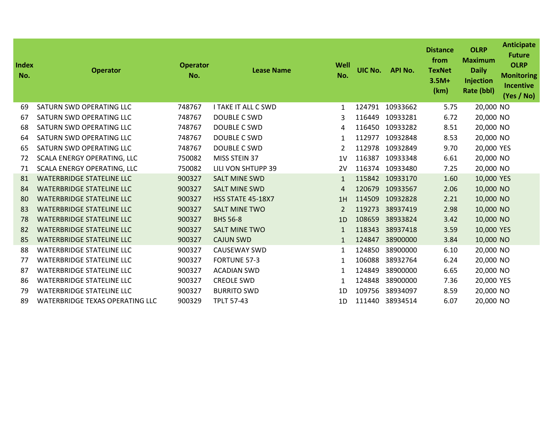| Index<br>No. | <b>Operator</b>                        | <b>Operator</b><br>No. | <b>Lease Name</b>        | Well<br>No.    | UIC No. | <b>API No.</b> | <b>Distance</b><br>from<br><b>TexNet</b><br>$3.5M+$<br>(km) | <b>OLRP</b><br><b>Maximum</b><br><b>Daily</b><br>Injection<br>Rate (bbl) | <b>Anticipate</b><br><b>Future</b><br><b>OLRP</b><br><b>Monitoring</b><br><b>Incentive</b><br>(Yes / No) |
|--------------|----------------------------------------|------------------------|--------------------------|----------------|---------|----------------|-------------------------------------------------------------|--------------------------------------------------------------------------|----------------------------------------------------------------------------------------------------------|
| 69           | SATURN SWD OPERATING LLC               | 748767                 | I TAKE IT ALL C SWD      | 1              | 124791  | 10933662       | 5.75                                                        | 20,000 NO                                                                |                                                                                                          |
| 67           | SATURN SWD OPERATING LLC               | 748767                 | <b>DOUBLE C SWD</b>      | 3              | 116449  | 10933281       | 6.72                                                        | 20,000 NO                                                                |                                                                                                          |
| 68           | SATURN SWD OPERATING LLC               | 748767                 | <b>DOUBLE C SWD</b>      | 4              | 116450  | 10933282       | 8.51                                                        | 20,000 NO                                                                |                                                                                                          |
| 64           | SATURN SWD OPERATING LLC               | 748767                 | DOUBLE C SWD             | $\mathbf{1}$   | 112977  | 10932848       | 8.53                                                        | 20,000 NO                                                                |                                                                                                          |
| 65           | SATURN SWD OPERATING LLC               | 748767                 | <b>DOUBLE C SWD</b>      | 2              | 112978  | 10932849       | 9.70                                                        | 20,000 YES                                                               |                                                                                                          |
| 72           | SCALA ENERGY OPERATING, LLC            | 750082                 | MISS STEIN 37            | 1 <sub>V</sub> | 116387  | 10933348       | 6.61                                                        | 20,000 NO                                                                |                                                                                                          |
| 71           | SCALA ENERGY OPERATING, LLC            | 750082                 | LILI VON SHTUPP 39       | 2V             | 116374  | 10933480       | 7.25                                                        | 20,000 NO                                                                |                                                                                                          |
| 81           | <b>WATERBRIDGE STATELINE LLC</b>       | 900327                 | <b>SALT MINE SWD</b>     | 1              | 115842  | 10933170       | 1.60                                                        | 10,000 YES                                                               |                                                                                                          |
| 84           | <b>WATERBRIDGE STATELINE LLC</b>       | 900327                 | <b>SALT MINE SWD</b>     | 4              | 120679  | 10933567       | 2.06                                                        | 10,000 NO                                                                |                                                                                                          |
| 80           | <b>WATERBRIDGE STATELINE LLC</b>       | 900327                 | <b>HSS STATE 45-18X7</b> | 1H             | 114509  | 10932828       | 2.21                                                        | 10,000 NO                                                                |                                                                                                          |
| 83           | <b>WATERBRIDGE STATELINE LLC</b>       | 900327                 | <b>SALT MINE TWO</b>     | 2              | 119273  | 38937419       | 2.98                                                        | 10,000 NO                                                                |                                                                                                          |
| 78           | <b>WATERBRIDGE STATELINE LLC</b>       | 900327                 | <b>BHS 56-8</b>          | 1 <sub>D</sub> | 108659  | 38933824       | 3.42                                                        | 10,000 NO                                                                |                                                                                                          |
| 82           | <b>WATERBRIDGE STATELINE LLC</b>       | 900327                 | <b>SALT MINE TWO</b>     | $\mathbf{1}$   | 118343  | 38937418       | 3.59                                                        | 10,000 YES                                                               |                                                                                                          |
| 85           | <b>WATERBRIDGE STATELINE LLC</b>       | 900327                 | <b>CAJUN SWD</b>         | $\mathbf{1}$   | 124847  | 38900000       | 3.84                                                        | 10,000 NO                                                                |                                                                                                          |
| 88           | <b>WATERBRIDGE STATELINE LLC</b>       | 900327                 | <b>CAUSEWAY SWD</b>      | $\mathbf{1}$   | 124850  | 38900000       | 6.10                                                        | 20,000 NO                                                                |                                                                                                          |
| 77           | <b>WATERBRIDGE STATELINE LLC</b>       | 900327                 | <b>FORTUNE 57-3</b>      | 1              | 106088  | 38932764       | 6.24                                                        | 20,000 NO                                                                |                                                                                                          |
| 87           | <b>WATERBRIDGE STATELINE LLC</b>       | 900327                 | <b>ACADIAN SWD</b>       | $\mathbf{1}$   | 124849  | 38900000       | 6.65                                                        | 20,000 NO                                                                |                                                                                                          |
| 86           | <b>WATERBRIDGE STATELINE LLC</b>       | 900327                 | <b>CREOLE SWD</b>        | $\mathbf{1}$   | 124848  | 38900000       | 7.36                                                        | 20,000 YES                                                               |                                                                                                          |
| 79           | <b>WATERBRIDGE STATELINE LLC</b>       | 900327                 | <b>BURRITO SWD</b>       | 1D             | 109756  | 38934097       | 8.59                                                        | 20,000 NO                                                                |                                                                                                          |
| 89           | <b>WATERBRIDGE TEXAS OPERATING LLC</b> | 900329                 | <b>TPLT 57-43</b>        | 1D             | 111440  | 38934514       | 6.07                                                        | 20,000 NO                                                                |                                                                                                          |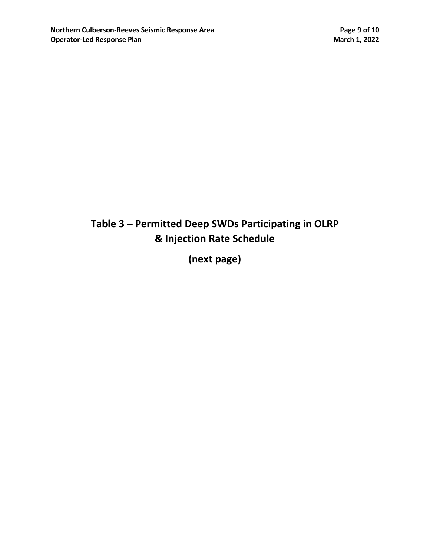# **Table 3 – Permitted Deep SWDs Participating in OLRP & Injection Rate Schedule**

**(next page)**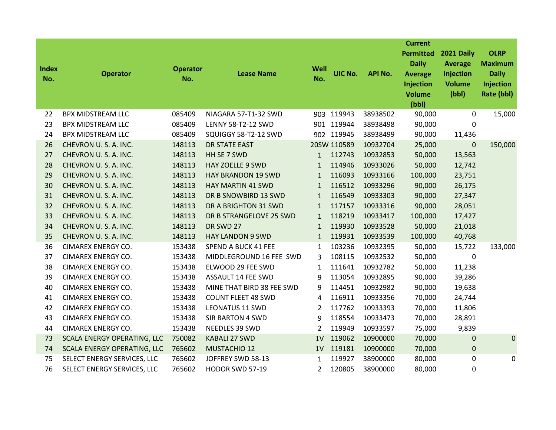| <b>Index</b><br>No. | <b>Operator</b>             | <b>Operator</b><br>No. | <b>Lease Name</b>         | Well<br>No.    | UIC No.     | <b>API No.</b> | <b>Current</b><br><b>Permitted</b><br><b>Daily</b><br><b>Average</b><br>Injection<br><b>Volume</b><br>(bbl) | 2021 Daily<br><b>Average</b><br>Injection<br><b>Volume</b><br>(bbl) | <b>OLRP</b><br><b>Maximum</b><br><b>Daily</b><br>Injection<br>Rate (bbl) |
|---------------------|-----------------------------|------------------------|---------------------------|----------------|-------------|----------------|-------------------------------------------------------------------------------------------------------------|---------------------------------------------------------------------|--------------------------------------------------------------------------|
| 22                  | <b>BPX MIDSTREAM LLC</b>    | 085409                 | NIAGARA 57-T1-32 SWD      |                | 903 119943  | 38938502       | 90,000                                                                                                      | 0                                                                   | 15,000                                                                   |
| 23                  | <b>BPX MIDSTREAM LLC</b>    | 085409                 | LENNY 58-T2-12 SWD        |                | 901 119944  | 38938498       | 90,000                                                                                                      | 0                                                                   |                                                                          |
| 24                  | <b>BPX MIDSTREAM LLC</b>    | 085409                 | SQUIGGY 58-T2-12 SWD      |                | 902 119945  | 38938499       | 90,000                                                                                                      | 11,436                                                              |                                                                          |
| 26                  | CHEVRON U.S.A. INC.         | 148113                 | <b>DR STATE EAST</b>      |                | 20SW 110589 | 10932704       | 25,000                                                                                                      | $\mathbf 0$                                                         | 150,000                                                                  |
| 27                  | CHEVRON U.S.A. INC.         | 148113                 | HH SE 7 SWD               | $\mathbf{1}$   | 112743      | 10932853       | 50,000                                                                                                      | 13,563                                                              |                                                                          |
| 28                  | CHEVRON U.S.A. INC.         | 148113                 | <b>HAY ZOELLE 9 SWD</b>   | $\mathbf{1}$   | 114946      | 10933026       | 50,000                                                                                                      | 12,742                                                              |                                                                          |
| 29                  | CHEVRON U.S.A. INC.         | 148113                 | <b>HAY BRANDON 19 SWD</b> | $\mathbf{1}$   | 116093      | 10933166       | 100,000                                                                                                     | 23,751                                                              |                                                                          |
| 30                  | CHEVRON U.S.A. INC.         | 148113                 | <b>HAY MARTIN 41 SWD</b>  | $\mathbf{1}$   | 116512      | 10933296       | 90,000                                                                                                      | 26,175                                                              |                                                                          |
| 31                  | CHEVRON U.S.A. INC.         | 148113                 | DR B SNOWBIRD 13 SWD      | $\mathbf{1}$   | 116549      | 10933303       | 90,000                                                                                                      | 27,347                                                              |                                                                          |
| 32                  | CHEVRON U.S.A. INC.         | 148113                 | DR A BRIGHTON 31 SWD      | $\mathbf{1}$   | 117157      | 10933316       | 90,000                                                                                                      | 28,051                                                              |                                                                          |
| 33                  | CHEVRON U.S.A. INC.         | 148113                 | DR B STRANGELOVE 25 SWD   | $\mathbf{1}$   | 118219      | 10933417       | 100,000                                                                                                     | 17,427                                                              |                                                                          |
| 34                  | CHEVRON U.S.A. INC.         | 148113                 | DR SWD 27                 | $\mathbf{1}$   | 119930      | 10933528       | 50,000                                                                                                      | 21,018                                                              |                                                                          |
| 35                  | CHEVRON U.S.A. INC.         | 148113                 | <b>HAY LANDON 9 SWD</b>   | $\mathbf{1}$   | 119931      | 10933539       | 100,000                                                                                                     | 40,768                                                              |                                                                          |
| 36                  | <b>CIMAREX ENERGY CO.</b>   | 153438                 | SPEND A BUCK 41 FEE       | 1              | 103236      | 10932395       | 50,000                                                                                                      | 15,722                                                              | 133,000                                                                  |
| 37                  | <b>CIMAREX ENERGY CO.</b>   | 153438                 | MIDDLEGROUND 16 FEE SWD   | 3              | 108115      | 10932532       | 50,000                                                                                                      | 0                                                                   |                                                                          |
| 38                  | <b>CIMAREX ENERGY CO.</b>   | 153438                 | ELWOOD 29 FEE SWD         | $\mathbf{1}$   | 111641      | 10932782       | 50,000                                                                                                      | 11,238                                                              |                                                                          |
| 39                  | <b>CIMAREX ENERGY CO.</b>   | 153438                 | ASSAULT 14 FEE SWD        | 9              | 113054      | 10932895       | 90,000                                                                                                      | 39,286                                                              |                                                                          |
| 40                  | <b>CIMAREX ENERGY CO.</b>   | 153438                 | MINE THAT BIRD 38 FEE SWD | 9              | 114451      | 10932982       | 90,000                                                                                                      | 19,638                                                              |                                                                          |
| 41                  | <b>CIMAREX ENERGY CO.</b>   | 153438                 | <b>COUNT FLEET 48 SWD</b> | 4              | 116911      | 10933356       | 70,000                                                                                                      | 24,744                                                              |                                                                          |
| 42                  | CIMAREX ENERGY CO.          | 153438                 | <b>LEONATUS 11 SWD</b>    | $\overline{2}$ | 117762      | 10933393       | 70,000                                                                                                      | 11,806                                                              |                                                                          |
| 43                  | <b>CIMAREX ENERGY CO.</b>   | 153438                 | <b>SIR BARTON 4 SWD</b>   | 9              | 118554      | 10933473       | 70,000                                                                                                      | 28,891                                                              |                                                                          |
| 44                  | <b>CIMAREX ENERGY CO.</b>   | 153438                 | NEEDLES 39 SWD            | 2              | 119949      | 10933597       | 75,000                                                                                                      | 9,839                                                               |                                                                          |
| 73                  | SCALA ENERGY OPERATING, LLC | 750082                 | <b>KABALI 27 SWD</b>      | 1V             | 119062      | 10900000       | 70,000                                                                                                      | 0                                                                   | 0                                                                        |
| 74                  | SCALA ENERGY OPERATING, LLC | 765602                 | <b>MUSTACHIO 12</b>       | 1V             | 119181      | 10900000       | 70,000                                                                                                      | 0                                                                   |                                                                          |
| 75                  | SELECT ENERGY SERVICES, LLC | 765602                 | JOFFREY SWD 58-13         | 1              | 119927      | 38900000       | 80,000                                                                                                      | 0                                                                   | 0                                                                        |
| 76                  | SELECT ENERGY SERVICES, LLC | 765602                 | HODOR SWD 57-19           | 2              | 120805      | 38900000       | 80,000                                                                                                      | 0                                                                   |                                                                          |